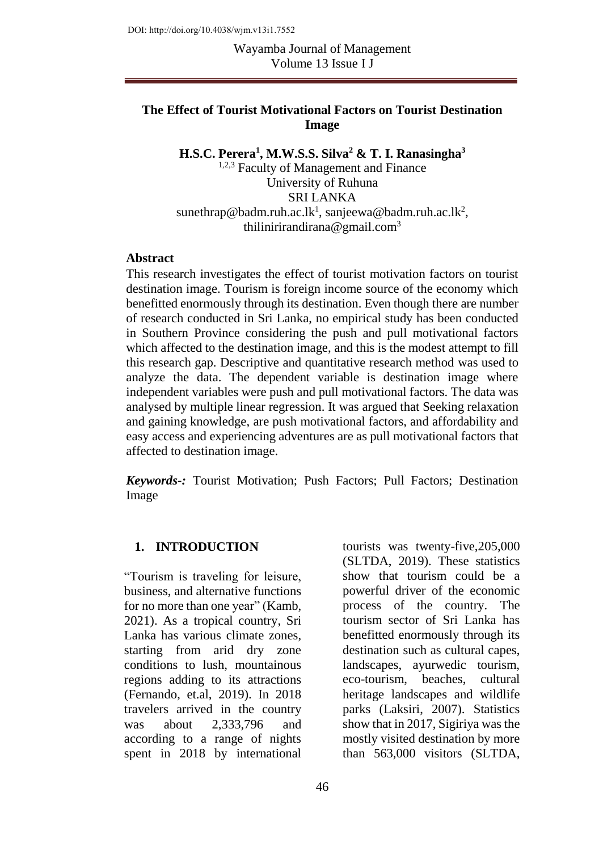### **The Effect of Tourist Motivational Factors on Tourist Destination Image**

**H.S.C. Perera<sup>1</sup> , M.W.S.S. Silva<sup>2</sup> & T. I. Ranasingha<sup>3</sup>** <sup>1,2,3</sup> Faculty of Management and Finance University of Ruhuna SRI LANKA  $s$ unethrap@badm.ruh.ac.lk<sup>1</sup>, [sanjeewa@badm.ruh.ac.lk](mailto:sanjeewa@badm.ruh.ac.lk)<sup>2</sup>, [thilinirirandirana@gmail.com](mailto:thilinirirandirana@gmail.com)<sup>3</sup>

#### **Abstract**

This research investigates the effect of tourist motivation factors on tourist destination image. Tourism is foreign income source of the economy which benefitted enormously through its destination. Even though there are number of research conducted in Sri Lanka, no empirical study has been conducted in Southern Province considering the push and pull motivational factors which affected to the destination image, and this is the modest attempt to fill this research gap. Descriptive and quantitative research method was used to analyze the data. The dependent variable is destination image where independent variables were push and pull motivational factors. The data was analysed by multiple linear regression. It was argued that Seeking relaxation and gaining knowledge, are push motivational factors, and affordability and easy access and experiencing adventures are as pull motivational factors that affected to destination image.

*Keywords-:* Tourist Motivation; Push Factors; Pull Factors; Destination Image

#### **1. INTRODUCTION**

"Tourism is traveling for leisure, business, and alternative functions for no more than one year" (Kamb, 2021). As a tropical country, Sri Lanka has various climate zones, starting from arid dry zone conditions to lush, mountainous regions adding to its attractions (Fernando, et.al, 2019). In 2018 travelers arrived in the country was about 2,333,796 and according to a range of nights spent in 2018 by international

tourists was twenty-five,205,000 (SLTDA, 2019). These statistics show that tourism could be a powerful driver of the economic process of the country. The tourism sector of Sri Lanka has benefitted enormously through its destination such as cultural capes, landscapes, ayurwedic tourism, eco-tourism, beaches, cultural heritage landscapes and wildlife parks (Laksiri, 2007). Statistics show that in 2017, Sigiriya was the mostly visited destination by more than 563,000 visitors (SLTDA,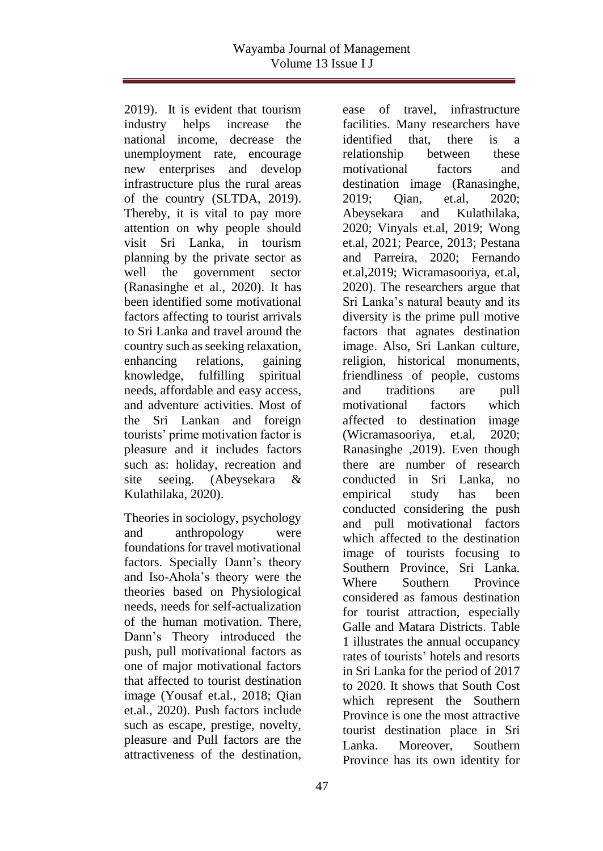2019). It is evident that tourism industry helps increase the national income, decrease the unemployment rate, encourage new enterprises and develop infrastructure plus the rural areas of the country (SLTDA, 2019). Thereby, it is vital to pay more attention on why people should visit Sri Lanka, in tourism planning by the private sector as well the government sector (Ranasinghe et al., 2020). It has been identified some motivational factors affecting to tourist arrivals to Sri Lanka and travel around the country such as seeking relaxation, enhancing relations, gaining knowledge, fulfilling spiritual needs, affordable and easy access, and adventure activities. Most of the Sri Lankan and foreign tourists' prime motivation factor is pleasure and it includes factors such as: holiday, recreation and site seeing. (Abeysekara & Kulathilaka, 2020).

Theories in sociology, psychology and anthropology were foundations for travel motivational factors. Specially Dann's theory and Iso-Ahola's theory were the theories based on Physiological needs, needs for self-actualization of the human motivation. There, Dann's Theory introduced the push, pull motivational factors as one of major motivational factors that affected to tourist destination image (Yousaf et.al., 2018; Qian et.al., 2020). Push factors include such as escape, prestige, novelty, pleasure and Pull factors are the attractiveness of the destination,

ease of travel, infrastructure facilities. Many researchers have identified that, there is a relationship between these motivational factors and destination image (Ranasinghe, 2019; Qian, et.al, 2020; Abeysekara and Kulathilaka, 2020; Vinyals et.al, 2019; Wong et.al, 2021; Pearce, 2013; Pestana and Parreira, 2020; Fernando et.al,2019; Wicramasooriya, et.al, 2020). The researchers argue that Sri Lanka's natural beauty and its diversity is the prime pull motive factors that agnates destination image. Also, Sri Lankan culture, religion, historical monuments, friendliness of people, customs and traditions are pull motivational factors which affected to destination image (Wicramasooriya, et.al, 2020; Ranasinghe ,2019). Even though there are number of research conducted in Sri Lanka, no empirical study has been conducted considering the push and pull motivational factors which affected to the destination image of tourists focusing to Southern Province, Sri Lanka. Where Southern Province considered as famous destination for tourist attraction, especially Galle and Matara Districts. Table 1 illustrates the annual occupancy rates of tourists' hotels and resorts in Sri Lanka for the period of 2017 to 2020. It shows that South Cost which represent the Southern Province is one the most attractive tourist destination place in Sri Lanka. Moreover, Southern Province has its own identity for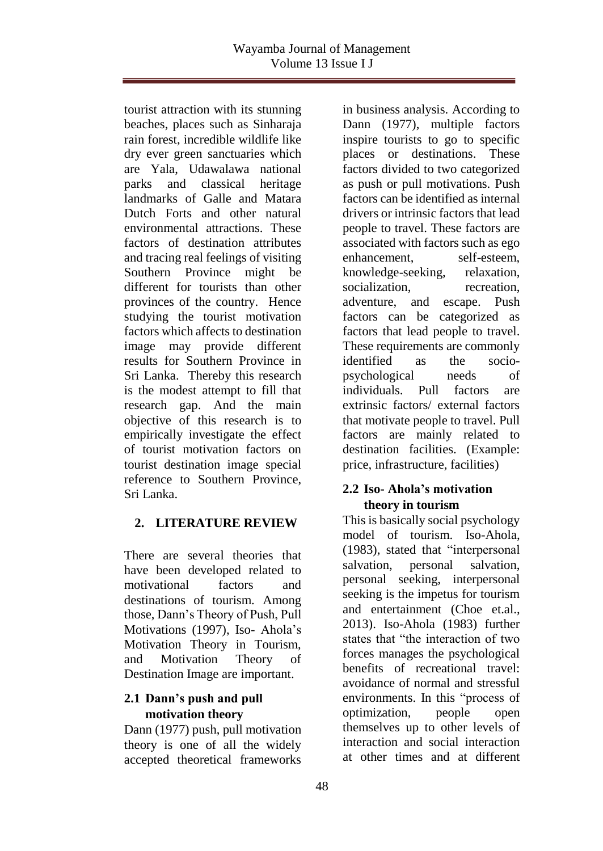tourist attraction with its stunning beaches, places such as Sinharaja rain forest, incredible wildlife like dry ever green sanctuaries which are Yala, Udawalawa national parks and classical heritage landmarks of Galle and Matara Dutch Forts and other natural environmental attractions. These factors of destination attributes and tracing real feelings of visiting Southern Province might be different for tourists than other provinces of the country. Hence studying the tourist motivation factors which affects to destination image may provide different results for Southern Province in Sri Lanka. Thereby this research is the modest attempt to fill that research gap. And the main objective of this research is to empirically investigate the effect of tourist motivation factors on tourist destination image special reference to Southern Province, Sri Lanka.

# **2. LITERATURE REVIEW**

There are several theories that have been developed related to motivational factors and destinations of tourism. Among those, Dann's Theory of Push, Pull Motivations (1997), Iso- Ahola's Motivation Theory in Tourism, and Motivation Theory of Destination Image are important.

## **2.1 Dann's push and pull motivation theory**

Dann (1977) push, pull motivation theory is one of all the widely accepted theoretical frameworks

in business analysis. According to Dann (1977), multiple factors inspire tourists to go to specific places or destinations. These factors divided to two categorized as push or pull motivations. Push factors can be identified as internal drivers or intrinsic factors that lead people to travel. These factors are associated with factors such as ego enhancement, self-esteem, knowledge-seeking, relaxation, socialization, recreation, adventure, and escape. Push factors can be categorized as factors that lead people to travel. These requirements are commonly identified as the sociopsychological needs of individuals. Pull factors are extrinsic factors/ external factors that motivate people to travel. Pull factors are mainly related to destination facilities. (Example: price, infrastructure, facilities)

## **2.2 Iso- Ahola's motivation theory in tourism**

This is basically social psychology model of tourism. Iso-Ahola, (1983), stated that "interpersonal salvation, personal salvation, personal seeking, interpersonal seeking is the impetus for tourism and entertainment (Choe et.al., 2013). Iso-Ahola (1983) further states that "the interaction of two forces manages the psychological benefits of recreational travel: avoidance of normal and stressful environments. In this "process of optimization, people open themselves up to other levels of interaction and social interaction at other times and at different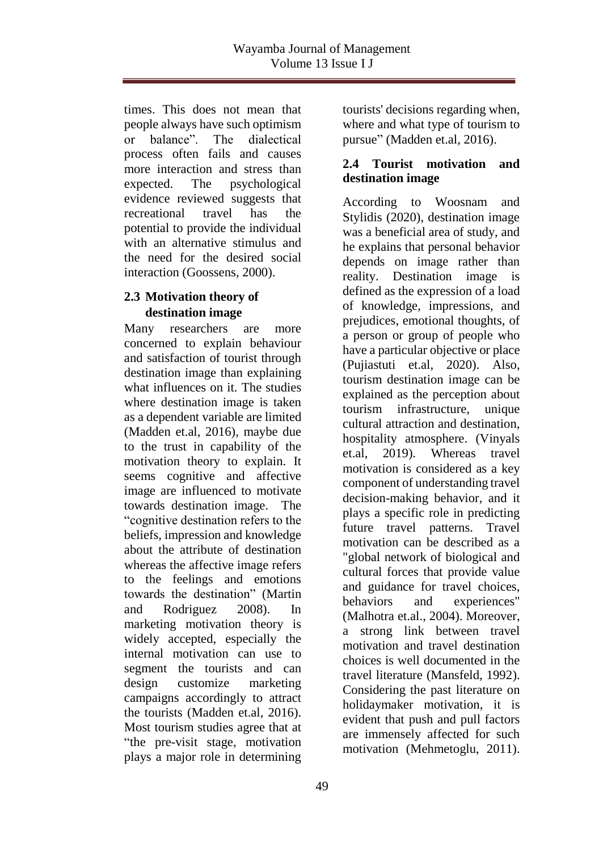times. This does not mean that people always have such optimism or balance". The dialectical process often fails and causes more interaction and stress than expected. The psychological evidence reviewed suggests that recreational travel has the potential to provide the individual with an alternative stimulus and the need for the desired social interaction (Goossens, 2000).

# **2.3 Motivation theory of destination image**

Many researchers are more concerned to explain behaviour and satisfaction of tourist through destination image than explaining what influences on it. The studies where destination image is taken as a dependent variable are limited (Madden et.al, 2016), maybe due to the trust in capability of the motivation theory to explain. It seems cognitive and affective image are influenced to motivate towards destination image. The "cognitive destination refers to the beliefs, impression and knowledge about the attribute of destination whereas the affective image refers to the feelings and emotions towards the destination" (Martin and Rodriguez 2008). In marketing motivation theory is widely accepted, especially the internal motivation can use to segment the tourists and can design customize marketing campaigns accordingly to attract the tourists (Madden et.al, 2016). Most tourism studies agree that at "the pre-visit stage, motivation plays a major role in determining

tourists' decisions regarding when, where and what type of tourism to pursue" (Madden et.al, 2016).

### **2.4 Tourist motivation and destination image**

According to Woosnam and Stylidis (2020), destination image was a beneficial area of study, and he explains that personal behavior depends on image rather than reality. Destination image is defined as the expression of a load of knowledge, impressions, and prejudices, emotional thoughts, of a person or group of people who have a particular objective or place (Pujiastuti et.al, 2020). Also, tourism destination image can be explained as the perception about tourism infrastructure, unique cultural attraction and destination, hospitality atmosphere. (Vinyals et.al, 2019). Whereas travel motivation is considered as a key component of understanding travel decision-making behavior, and it plays a specific role in predicting future travel patterns. Travel motivation can be described as a "global network of biological and cultural forces that provide value and guidance for travel choices, behaviors and experiences" (Malhotra et.al., 2004). Moreover, a strong link between travel motivation and travel destination choices is well documented in the travel literature (Mansfeld, 1992). Considering the past literature on holidaymaker motivation, it is evident that push and pull factors are immensely affected for such motivation (Mehmetoglu, 2011).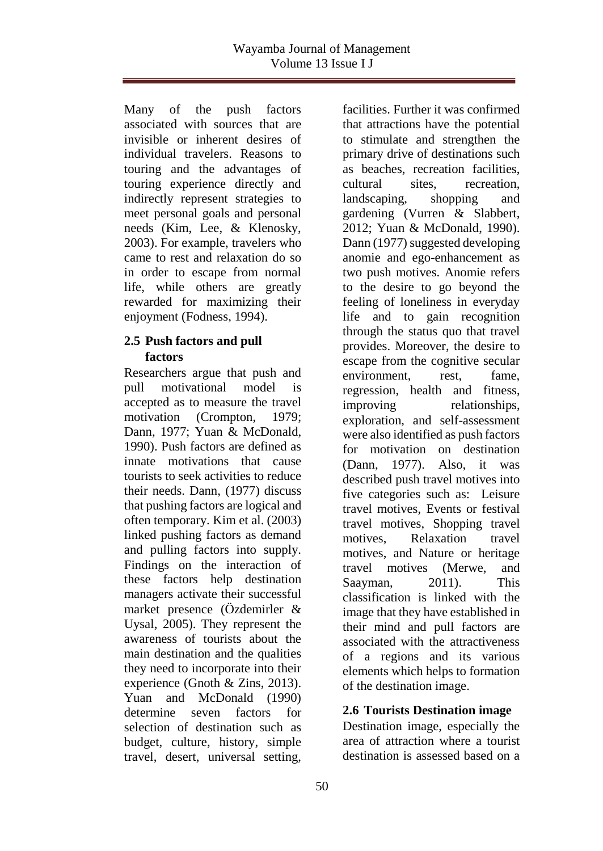Many of the push factors associated with sources that are invisible or inherent desires of individual travelers. Reasons to touring and the advantages of touring experience directly and indirectly represent strategies to meet personal goals and personal needs (Kim, Lee, & Klenosky, 2003). For example, travelers who came to rest and relaxation do so in order to escape from normal life, while others are greatly rewarded for maximizing their enjoyment (Fodness, 1994).

### **2.5 Push factors and pull factors**

Researchers argue that push and pull motivational model is accepted as to measure the travel motivation (Crompton, 1979; Dann, 1977; Yuan & McDonald, 1990). Push factors are defined as innate motivations that cause tourists to seek activities to reduce their needs. Dann, (1977) discuss that pushing factors are logical and often temporary. Kim et al. (2003) linked pushing factors as demand and pulling factors into supply. Findings on the interaction of these factors help destination managers activate their successful market presence (Özdemirler & Uysal, 2005). They represent the awareness of tourists about the main destination and the qualities they need to incorporate into their experience (Gnoth & Zins, 2013). Yuan and McDonald (1990) determine seven factors for selection of destination such as budget, culture, history, simple travel, desert, universal setting,

facilities. Further it was confirmed that attractions have the potential to stimulate and strengthen the primary drive of destinations such as beaches, recreation facilities, cultural sites, recreation, landscaping, shopping and gardening (Vurren & Slabbert, 2012; Yuan & McDonald, 1990). Dann (1977) suggested developing anomie and ego-enhancement as two push motives. Anomie refers to the desire to go beyond the feeling of loneliness in everyday life and to gain recognition through the status quo that travel provides. Moreover, the desire to escape from the cognitive secular environment, rest, fame, regression, health and fitness, improving relationships, exploration, and self-assessment were also identified as push factors for motivation on destination (Dann, 1977). Also, it was described push travel motives into five categories such as: Leisure travel motives, Events or festival travel motives, Shopping travel motives, Relaxation travel motives, and Nature or heritage travel motives (Merwe, and Saayman, 2011). This classification is linked with the image that they have established in their mind and pull factors are associated with the attractiveness of a regions and its various elements which helps to formation of the destination image.

## **2.6 Tourists Destination image**

Destination image, especially the area of attraction where a tourist destination is assessed based on a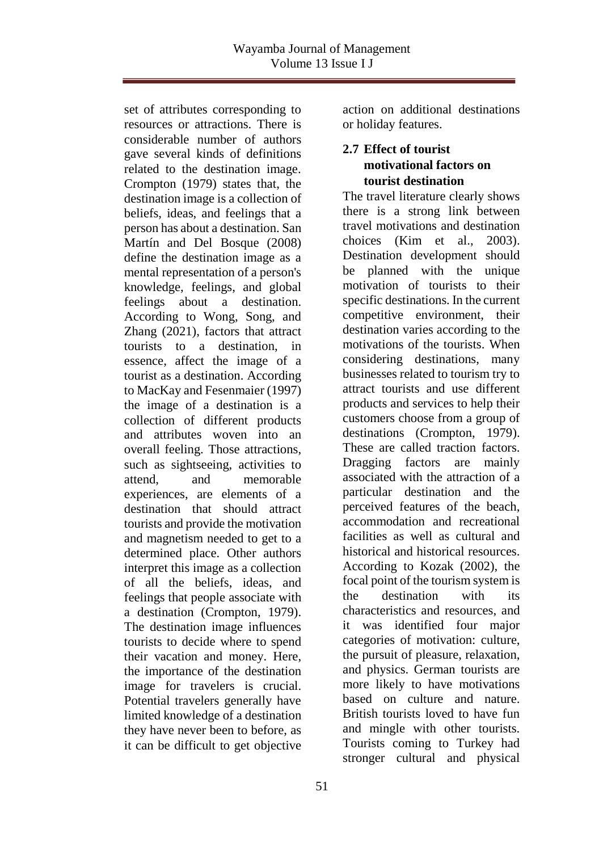set of attributes corresponding to resources or attractions. There is considerable number of authors gave several kinds of definitions related to the destination image. Crompton (1979) states that, the destination image is a collection of beliefs, ideas, and feelings that a person has about a destination. San Martín and Del Bosque (2008) define the destination image as a mental representation of a person's knowledge, feelings, and global feelings about a destination. According to Wong, Song, and Zhang (2021), factors that attract tourists to a destination, in essence, affect the image of a tourist as a destination. According to MacKay and Fesenmaier (1997) the image of a destination is a collection of different products and attributes woven into an overall feeling. Those attractions, such as sightseeing, activities to attend, and memorable experiences, are elements of a destination that should attract tourists and provide the motivation and magnetism needed to get to a determined place. Other authors interpret this image as a collection of all the beliefs, ideas, and feelings that people associate with a destination (Crompton, 1979). The destination image influences tourists to decide where to spend their vacation and money. Here, the importance of the destination image for travelers is crucial. Potential travelers generally have limited knowledge of a destination they have never been to before, as it can be difficult to get objective

action on additional destinations or holiday features.

## **2.7 Effect of tourist motivational factors on tourist destination**

The travel literature clearly shows there is a strong link between travel motivations and destination choices (Kim et al., 2003). Destination development should be planned with the unique motivation of tourists to their specific destinations. In the current competitive environment, their destination varies according to the motivations of the tourists. When considering destinations, many businesses related to tourism try to attract tourists and use different products and services to help their customers choose from a group of destinations (Crompton, 1979). These are called traction factors. Dragging factors are mainly associated with the attraction of a particular destination and the perceived features of the beach, accommodation and recreational facilities as well as cultural and historical and historical resources. According to Kozak (2002), the focal point of the tourism system is the destination with its characteristics and resources, and it was identified four major categories of motivation: culture, the pursuit of pleasure, relaxation, and physics. German tourists are more likely to have motivations based on culture and nature. British tourists loved to have fun and mingle with other tourists. Tourists coming to Turkey had stronger cultural and physical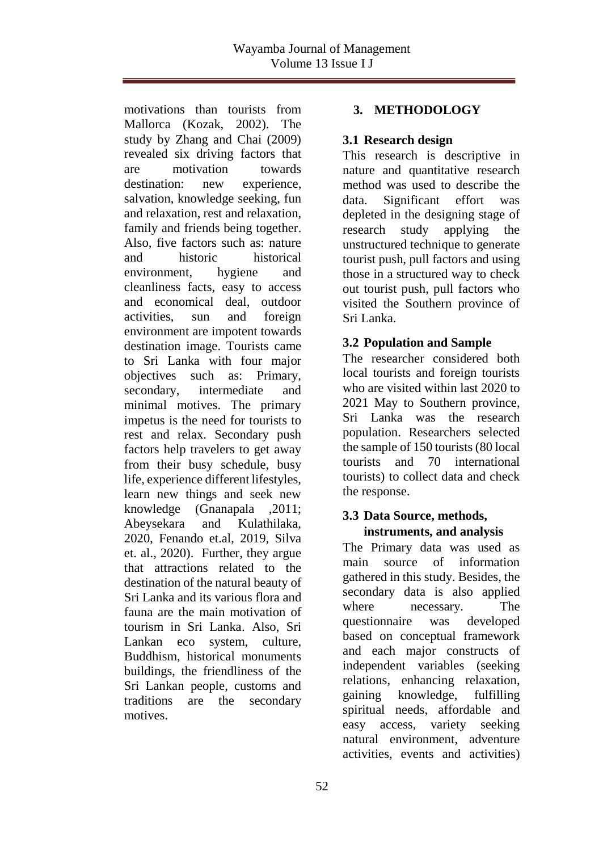motivations than tourists from Mallorca (Kozak, 2002). The study by Zhang and Chai (2009) revealed six driving factors that are motivation towards destination: new experience, salvation, knowledge seeking, fun and relaxation, rest and relaxation, family and friends being together. Also, five factors such as: nature and historic historical environment, hygiene and cleanliness facts, easy to access and economical deal, outdoor activities, sun and foreign environment are impotent towards destination image. Tourists came to Sri Lanka with four major objectives such as: Primary, secondary, intermediate and minimal motives. The primary impetus is the need for tourists to rest and relax. Secondary push factors help travelers to get away from their busy schedule, busy life, experience different lifestyles, learn new things and seek new knowledge (Gnanapala ,2011; Abeysekara and Kulathilaka, 2020, Fenando et.al, 2019, Silva et. al., 2020). Further, they argue that attractions related to the destination of the natural beauty of Sri Lanka and its various flora and fauna are the main motivation of tourism in Sri Lanka. Also, Sri Lankan eco system, culture, Buddhism, historical monuments buildings, the friendliness of the Sri Lankan people, customs and traditions are the secondary motives.

### **3. METHODOLOGY**

### **3.1 Research design**

This research is descriptive in nature and quantitative research method was used to describe the data. Significant effort was depleted in the designing stage of research study applying the unstructured technique to generate tourist push, pull factors and using those in a structured way to check out tourist push, pull factors who visited the Southern province of Sri Lanka.

## **3.2 Population and Sample**

The researcher considered both local tourists and foreign tourists who are visited within last 2020 to 2021 May to Southern province, Sri Lanka was the research population. Researchers selected the sample of 150 tourists (80 local tourists and 70 international tourists) to collect data and check the response.

### **3.3 Data Source, methods, instruments, and analysis**

The Primary data was used as main source of information gathered in this study. Besides, the secondary data is also applied where necessary. The questionnaire was developed based on conceptual framework and each major constructs of independent variables (seeking relations, enhancing relaxation, gaining knowledge, fulfilling spiritual needs, affordable and easy access, variety seeking natural environment, adventure activities, events and activities)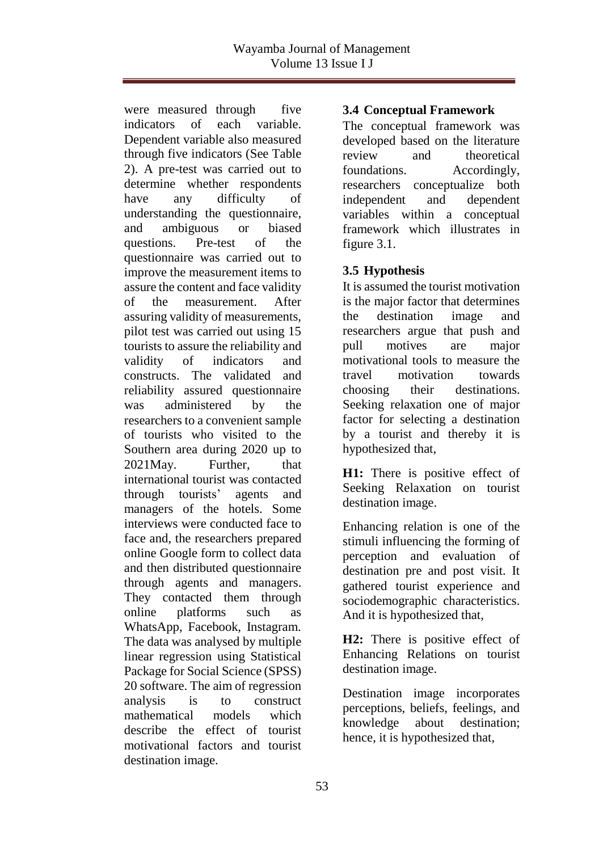were measured through five indicators of each variable. Dependent variable also measured through five indicators (See Table 2). A pre-test was carried out to determine whether respondents have any difficulty of understanding the questionnaire, and ambiguous or biased questions. Pre-test of the questionnaire was carried out to improve the measurement items to assure the content and face validity of the measurement. After assuring validity of measurements, pilot test was carried out using 15 tourists to assure the reliability and validity of indicators and constructs. The validated and reliability assured questionnaire was administered by the researchers to a convenient sample of tourists who visited to the Southern area during 2020 up to 2021May. Further, that international tourist was contacted through tourists' agents and managers of the hotels. Some interviews were conducted face to face and, the researchers prepared online Google form to collect data and then distributed questionnaire through agents and managers. They contacted them through online platforms such as WhatsApp, Facebook, Instagram. The data was analysed by multiple linear regression using Statistical Package for Social Science (SPSS) 20 software. The aim of regression analysis is to construct mathematical models which describe the effect of tourist motivational factors and tourist destination image.

#### **3.4 Conceptual Framework**

The conceptual framework was developed based on the literature review and theoretical foundations. Accordingly, researchers conceptualize both independent and dependent variables within a conceptual framework which illustrates in figure 3.1.

## **3.5 Hypothesis**

It is assumed the tourist motivation is the major factor that determines the destination image and researchers argue that push and pull motives are major motivational tools to measure the travel motivation towards choosing their destinations. Seeking relaxation one of major factor for selecting a destination by a tourist and thereby it is hypothesized that,

**H1:** There is positive effect of Seeking Relaxation on tourist destination image.

Enhancing relation is one of the stimuli influencing the forming of perception and evaluation of destination pre and post visit. It gathered tourist experience and sociodemographic characteristics. And it is hypothesized that,

**H2:** There is positive effect of Enhancing Relations on tourist destination image.

Destination image incorporates perceptions, beliefs, feelings, and knowledge about destination; hence, it is hypothesized that,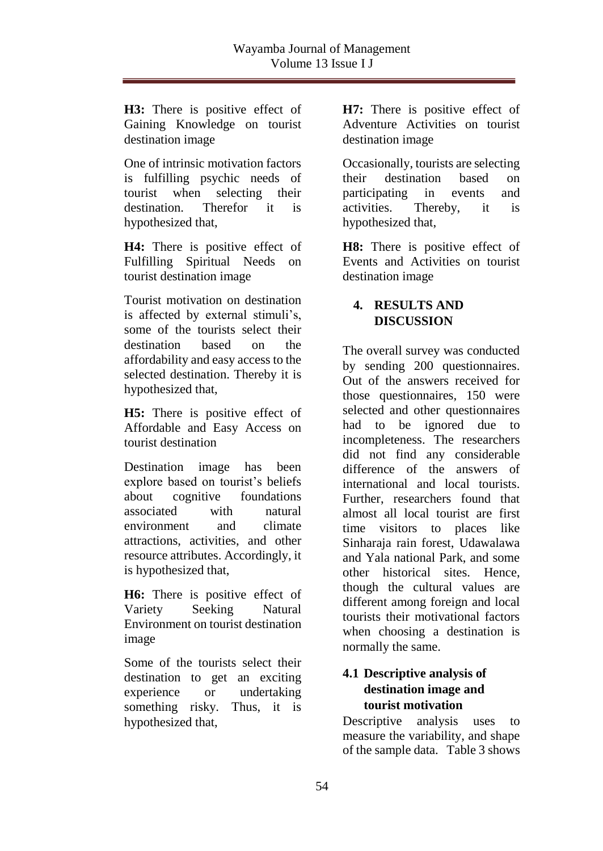**H3:** There is positive effect of Gaining Knowledge on tourist destination image

One of intrinsic motivation factors is fulfilling psychic needs of tourist when selecting their destination. Therefor it is hypothesized that,

**H4:** There is positive effect of Fulfilling Spiritual Needs on tourist destination image

Tourist motivation on destination is affected by external stimuli's, some of the tourists select their destination based on the affordability and easy access to the selected destination. Thereby it is hypothesized that,

**H5:** There is positive effect of Affordable and Easy Access on tourist destination

Destination image has been explore based on tourist's beliefs about cognitive foundations associated with natural environment and climate attractions, activities, and other resource attributes. Accordingly, it is hypothesized that,

**H6:** There is positive effect of Variety Seeking Natural Environment on tourist destination image

Some of the tourists select their destination to get an exciting experience or undertaking something risky. Thus, it is hypothesized that,

**H7:** There is positive effect of Adventure Activities on tourist destination image

Occasionally, tourists are selecting their destination based on participating in events and activities. Thereby, it is hypothesized that,

**H8:** There is positive effect of Events and Activities on tourist destination image

# **4. RESULTS AND DISCUSSION**

The overall survey was conducted by sending 200 questionnaires. Out of the answers received for those questionnaires, 150 were selected and other questionnaires had to be ignored due to incompleteness. The researchers did not find any considerable difference of the answers of international and local tourists. Further, researchers found that almost all local tourist are first time visitors to places like Sinharaja rain forest, Udawalawa and Yala national Park, and some other historical sites. Hence, though the cultural values are different among foreign and local tourists their motivational factors when choosing a destination is normally the same.

# **4.1 Descriptive analysis of destination image and tourist motivation**

Descriptive analysis uses to measure the variability, and shape of the sample data. Table 3 shows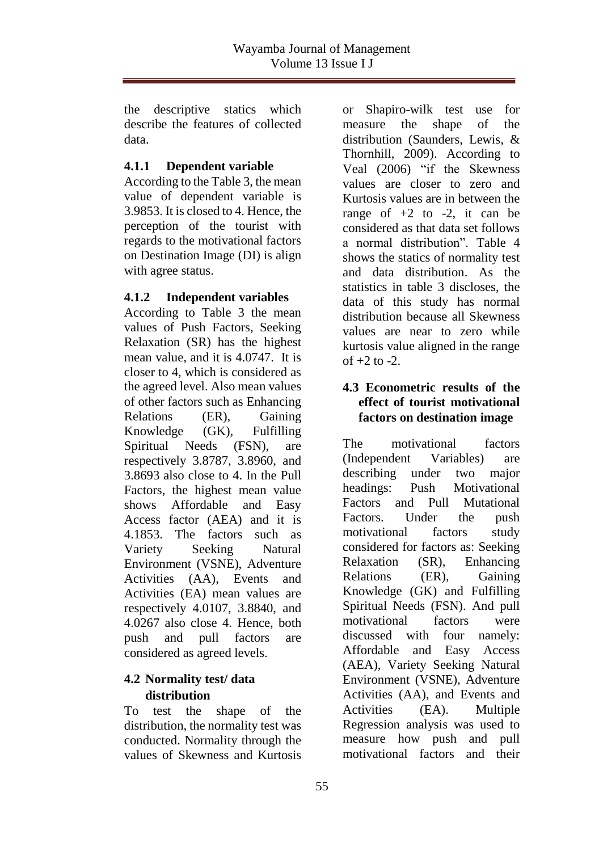the descriptive statics which describe the features of collected data.

## **4.1.1 Dependent variable**

According to the Table 3, the mean value of dependent variable is 3.9853. It is closed to 4. Hence, the perception of the tourist with regards to the motivational factors on Destination Image (DI) is align with agree status.

## **4.1.2 Independent variables**

According to Table 3 the mean values of Push Factors, Seeking Relaxation (SR) has the highest mean value, and it is 4.0747. It is closer to 4, which is considered as the agreed level. Also mean values of other factors such as Enhancing Relations (ER), Gaining Knowledge (GK), Fulfilling Spiritual Needs (FSN), are respectively 3.8787, 3.8960, and 3.8693 also close to 4. In the Pull Factors, the highest mean value shows Affordable and Easy Access factor (AEA) and it is 4.1853. The factors such as Variety Seeking Natural Environment (VSNE), Adventure Activities (AA), Events and Activities (EA) mean values are respectively 4.0107, 3.8840, and 4.0267 also close 4. Hence, both push and pull factors are considered as agreed levels.

# **4.2 Normality test/ data distribution**

To test the shape of the distribution, the normality test was conducted. Normality through the values of Skewness and Kurtosis

or Shapiro-wilk test use for measure the shape of the distribution (Saunders, Lewis, & Thornhill, 2009). According to Veal (2006) "if the Skewness values are closer to zero and Kurtosis values are in between the range of  $+2$  to  $-2$ , it can be considered as that data set follows a normal distribution". Table 4 shows the statics of normality test and data distribution. As the statistics in table 3 discloses, the data of this study has normal distribution because all Skewness values are near to zero while kurtosis value aligned in the range of  $+2$  to  $-2$ .

## **4.3 Econometric results of the effect of tourist motivational factors on destination image**

The motivational factors (Independent Variables) are describing under two major headings: Push Motivational Factors and Pull Mutational Factors. Under the push motivational factors study considered for factors as: Seeking Relaxation (SR), Enhancing Relations (ER), Gaining Knowledge (GK) and Fulfilling Spiritual Needs (FSN). And pull motivational factors were discussed with four namely: Affordable and Easy Access (AEA), Variety Seeking Natural Environment (VSNE), Adventure Activities (AA), and Events and Activities (EA). Multiple Regression analysis was used to measure how push and pull motivational factors and their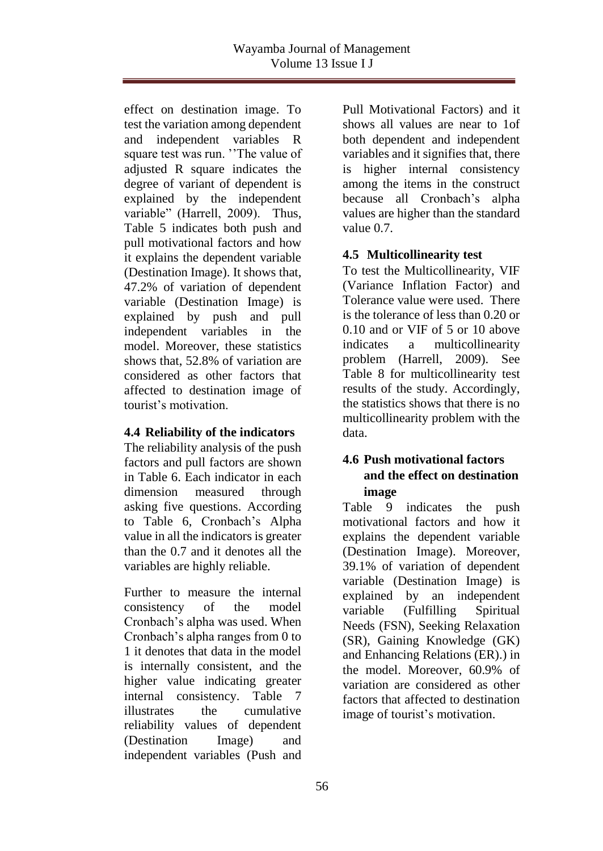effect on destination image. To test the variation among dependent and independent variables R square test was run. ''The value of adjusted R square indicates the degree of variant of dependent is explained by the independent variable" (Harrell, 2009). Thus, Table 5 indicates both push and pull motivational factors and how it explains the dependent variable (Destination Image). It shows that, 47.2% of variation of dependent variable (Destination Image) is explained by push and pull independent variables in the model. Moreover, these statistics shows that, 52.8% of variation are considered as other factors that affected to destination image of tourist's motivation.

## **4.4 Reliability of the indicators**

The reliability analysis of the push factors and pull factors are shown in Table 6. Each indicator in each dimension measured through asking five questions. According to Table 6, Cronbach's Alpha value in all the indicators is greater than the 0.7 and it denotes all the variables are highly reliable.

Further to measure the internal consistency of the model Cronbach's alpha was used. When Cronbach's alpha ranges from 0 to 1 it denotes that data in the model is internally consistent, and the higher value indicating greater internal consistency. Table 7 illustrates the cumulative reliability values of dependent (Destination Image) and independent variables (Push and

Pull Motivational Factors) and it shows all values are near to 1of both dependent and independent variables and it signifies that, there is higher internal consistency among the items in the construct because all Cronbach's alpha values are higher than the standard value 0.7.

# **4.5 Multicollinearity test**

To test the Multicollinearity, VIF (Variance Inflation Factor) and Tolerance value were used. There is the tolerance of less than 0.20 or 0.10 and or VIF of 5 or 10 above indicates a multicollinearity problem (Harrell, 2009). See Table 8 for multicollinearity test results of the study. Accordingly, the statistics shows that there is no multicollinearity problem with the data.

# **4.6 Push motivational factors and the effect on destination image**

Table 9 indicates the push motivational factors and how it explains the dependent variable (Destination Image). Moreover, 39.1% of variation of dependent variable (Destination Image) is explained by an independent variable (Fulfilling Spiritual Needs (FSN), Seeking Relaxation (SR), Gaining Knowledge (GK) and Enhancing Relations (ER).) in the model. Moreover, 60.9% of variation are considered as other factors that affected to destination image of tourist's motivation.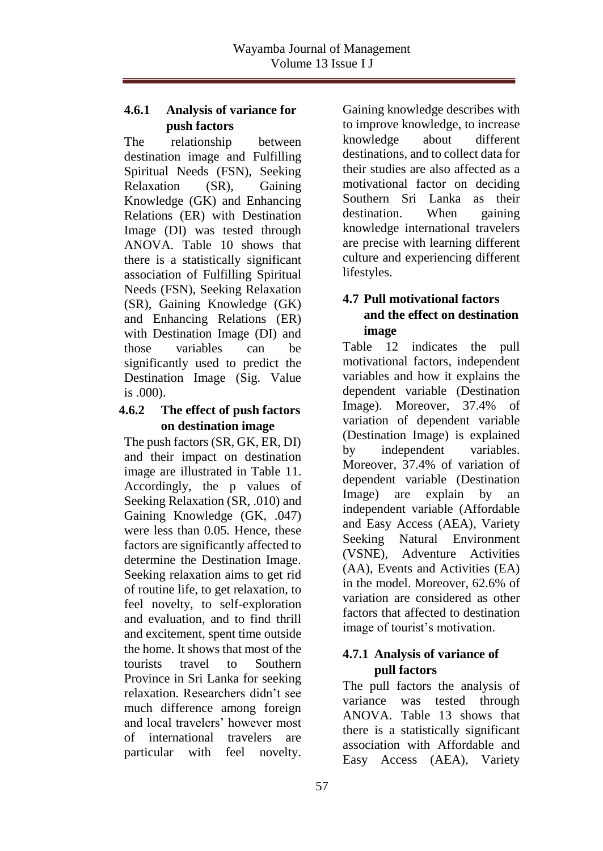## **4.6.1 Analysis of variance for push factors**

The relationship between destination image and Fulfilling Spiritual Needs (FSN), Seeking Relaxation (SR), Gaining Knowledge (GK) and Enhancing Relations (ER) with Destination Image (DI) was tested through ANOVA. Table 10 shows that there is a statistically significant association of Fulfilling Spiritual Needs (FSN), Seeking Relaxation (SR), Gaining Knowledge (GK) and Enhancing Relations (ER) with Destination Image (DI) and those variables can be significantly used to predict the Destination Image (Sig. Value is .000).

## **4.6.2 The effect of push factors on destination image**

The push factors (SR, GK, ER, DI) and their impact on destination image are illustrated in Table 11. Accordingly, the p values of Seeking Relaxation (SR, .010) and Gaining Knowledge (GK, .047) were less than 0.05. Hence, these factors are significantly affected to determine the Destination Image. Seeking relaxation aims to get rid of routine life, to get relaxation, to feel novelty, to self-exploration and evaluation, and to find thrill and excitement, spent time outside the home. It shows that most of the tourists travel to Southern Province in Sri Lanka for seeking relaxation. Researchers didn't see much difference among foreign and local travelers' however most of international travelers are particular with feel novelty.

Gaining knowledge describes with to improve knowledge, to increase knowledge about different destinations, and to collect data for their studies are also affected as a motivational factor on deciding Southern Sri Lanka as their destination. When gaining knowledge international travelers are precise with learning different culture and experiencing different lifestyles.

# **4.7 Pull motivational factors and the effect on destination image**

Table 12 indicates the pull motivational factors, independent variables and how it explains the dependent variable (Destination Image). Moreover, 37.4% of variation of dependent variable (Destination Image) is explained by independent variables. Moreover, 37.4% of variation of dependent variable (Destination Image) are explain by an independent variable (Affordable and Easy Access (AEA), Variety Seeking Natural Environment (VSNE), Adventure Activities (AA), Events and Activities (EA) in the model. Moreover, 62.6% of variation are considered as other factors that affected to destination image of tourist's motivation.

# **4.7.1 Analysis of variance of pull factors**

The pull factors the analysis of variance was tested through ANOVA. Table 13 shows that there is a statistically significant association with Affordable and Easy Access (AEA), Variety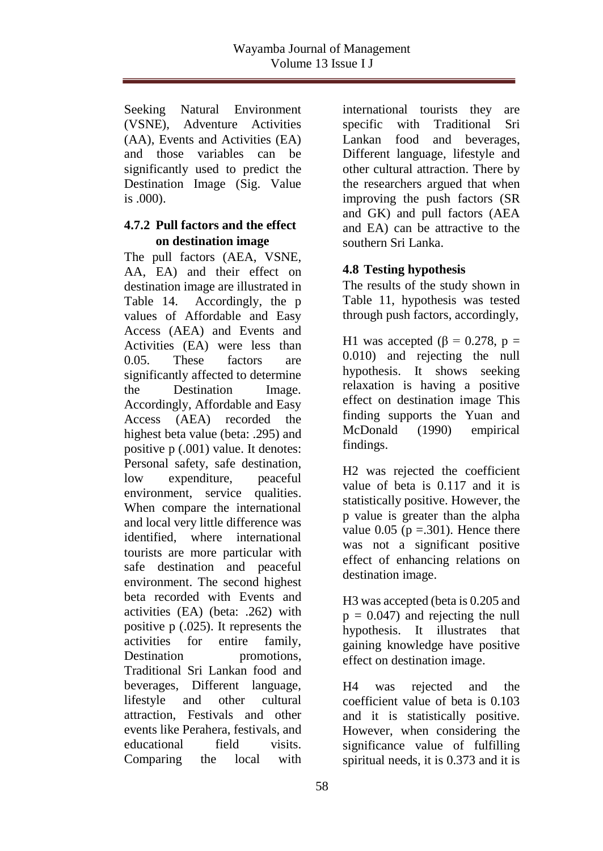Seeking Natural Environment (VSNE), Adventure Activities (AA), Events and Activities (EA) and those variables can be significantly used to predict the Destination Image (Sig. Value is .000).

#### **4.7.2 Pull factors and the effect on destination image**

The pull factors (AEA, VSNE, AA, EA) and their effect on destination image are illustrated in Table 14.Accordingly, the p values of Affordable and Easy Access (AEA) and Events and Activities (EA) were less than 0.05. These factors are significantly affected to determine the Destination Image. Accordingly, Affordable and Easy Access (AEA) recorded the highest beta value (beta: .295) and positive p (.001) value. It denotes: Personal safety, safe destination, low expenditure, peaceful environment, service qualities. When compare the international and local very little difference was identified, where international tourists are more particular with safe destination and peaceful environment. The second highest beta recorded with Events and activities (EA) (beta: .262) with positive p (.025). It represents the activities for entire family, Destination promotions. Traditional Sri Lankan food and beverages, Different language, lifestyle and other cultural attraction, Festivals and other events like Perahera, festivals, and educational field visits. Comparing the local with

international tourists they are specific with Traditional Sri Lankan food and beverages, Different language, lifestyle and other cultural attraction. There by the researchers argued that when improving the push factors (SR and GK) and pull factors (AEA and EA) can be attractive to the southern Sri Lanka.

# **4.8 Testing hypothesis**

The results of the study shown in Table 11, hypothesis was tested through push factors, accordingly,

H1 was accepted ( $\beta$  = 0.278, p = 0.010) and rejecting the null hypothesis. It shows seeking relaxation is having a positive effect on destination image This finding supports the Yuan and McDonald (1990) empirical findings.

H2 was rejected the coefficient value of beta is 0.117 and it is statistically positive. However, the p value is greater than the alpha value  $0.05$  ( $p = .301$ ). Hence there was not a significant positive effect of enhancing relations on destination image.

H3 was accepted (beta is 0.205 and  $p = 0.047$ ) and rejecting the null hypothesis. It illustrates that gaining knowledge have positive effect on destination image.

H4 was rejected and the coefficient value of beta is 0.103 and it is statistically positive. However, when considering the significance value of fulfilling spiritual needs, it is 0.373 and it is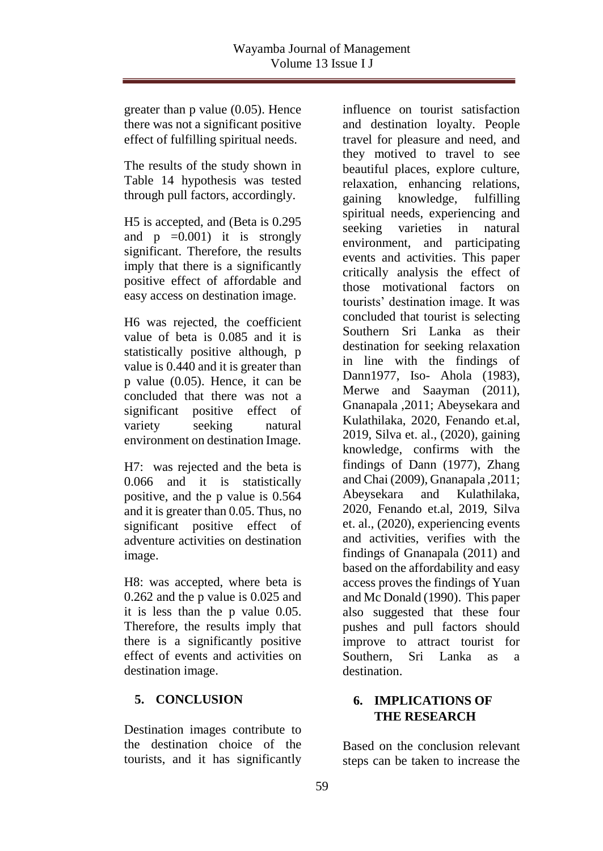greater than p value (0.05). Hence there was not a significant positive effect of fulfilling spiritual needs.

The results of the study shown in Table 14 hypothesis was tested through pull factors, accordingly.

H5 is accepted, and (Beta is 0.295 and  $p = 0.001$  it is strongly significant. Therefore, the results imply that there is a significantly positive effect of affordable and easy access on destination image.

H6 was rejected, the coefficient value of beta is 0.085 and it is statistically positive although, p value is 0.440 and it is greater than p value (0.05). Hence, it can be concluded that there was not a significant positive effect of variety seeking natural environment on destination Image.

H7: was rejected and the beta is 0.066 and it is statistically positive, and the p value is 0.564 and it is greater than 0.05. Thus, no significant positive effect of adventure activities on destination image.

H8: was accepted, where beta is 0.262 and the p value is 0.025 and it is less than the p value 0.05. Therefore, the results imply that there is a significantly positive effect of events and activities on destination image.

# **5. CONCLUSION**

Destination images contribute to the destination choice of the tourists, and it has significantly

influence on tourist satisfaction and destination loyalty. People travel for pleasure and need, and they motived to travel to see beautiful places, explore culture, relaxation, enhancing relations, gaining knowledge, fulfilling spiritual needs, experiencing and seeking varieties in natural environment, and participating events and activities. This paper critically analysis the effect of those motivational factors on tourists' destination image. It was concluded that tourist is selecting Southern Sri Lanka as their destination for seeking relaxation in line with the findings of Dann1977, Iso- Ahola (1983), Merwe and Saayman (2011), Gnanapala ,2011; Abeysekara and Kulathilaka, 2020, Fenando et.al, 2019, Silva et. al., (2020), gaining knowledge, confirms with the findings of Dann (1977), Zhang and Chai (2009), Gnanapala ,2011; Abeysekara and Kulathilaka, 2020, Fenando et.al, 2019, Silva et. al., (2020), experiencing events and activities, verifies with the findings of Gnanapala (2011) and based on the affordability and easy access proves the findings of Yuan and Mc Donald (1990). This paper also suggested that these four pushes and pull factors should improve to attract tourist for Southern, Sri Lanka as a destination.

# **6. IMPLICATIONS OF THE RESEARCH**

Based on the conclusion relevant steps can be taken to increase the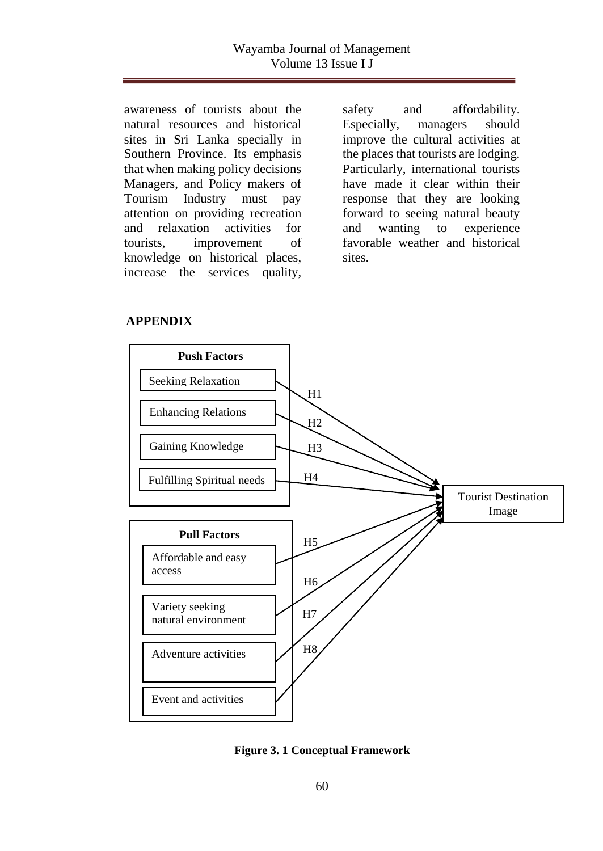awareness of tourists about the natural resources and historical sites in Sri Lanka specially in Southern Province. Its emphasis that when making policy decisions Managers, and Policy makers of Tourism Industry must pay attention on providing recreation and relaxation activities for tourists, improvement of knowledge on historical places, increase the services quality,

safety and affordability. Especially, managers should improve the cultural activities at the places that tourists are lodging. Particularly, international tourists have made it clear within their response that they are looking forward to seeing natural beauty and wanting to experience favorable weather and historical sites.

#### **APPENDIX**



**Figure 3. 1 Conceptual Framework**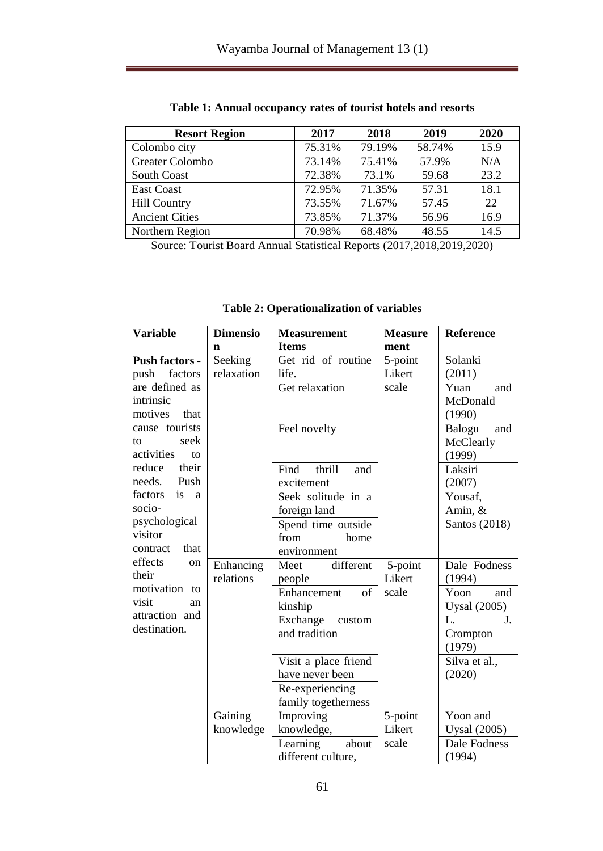| <b>Resort Region</b>  | 2017   | 2018   | 2019   | 2020 |
|-----------------------|--------|--------|--------|------|
| Colombo city          | 75.31% | 79.19% | 58.74% | 15.9 |
| Greater Colombo       | 73.14% | 75.41% | 57.9%  | N/A  |
| <b>South Coast</b>    | 72.38% | 73.1%  | 59.68  | 23.2 |
| <b>East Coast</b>     | 72.95% | 71.35% | 57.31  | 18.1 |
| <b>Hill Country</b>   | 73.55% | 71.67% | 57.45  | 22   |
| <b>Ancient Cities</b> | 73.85% | 71.37% | 56.96  | 16.9 |
| Northern Region       | 70.98% | 68.48% | 48.55  | 14.5 |

**Table 1: Annual occupancy rates of tourist hotels and resorts**

Source: Tourist Board Annual Statistical Reports (2017,2018,2019,2020)

| <b>Table 2: Operationalization of variables</b>                                                                                                                                                                                                                                    |                            |                                                                                                                                                                                                                 |                                    |                                                                                                                                                            |
|------------------------------------------------------------------------------------------------------------------------------------------------------------------------------------------------------------------------------------------------------------------------------------|----------------------------|-----------------------------------------------------------------------------------------------------------------------------------------------------------------------------------------------------------------|------------------------------------|------------------------------------------------------------------------------------------------------------------------------------------------------------|
| <b>Variable</b>                                                                                                                                                                                                                                                                    | <b>Dimensio</b>            | <b>Measurement</b>                                                                                                                                                                                              | <b>Measure</b>                     | Reference                                                                                                                                                  |
| <b>Push factors -</b><br>factors<br>push<br>are defined as<br>intrinsic<br>motives<br>that<br>cause tourists<br>seek<br>to<br>activities<br>to<br>reduce<br>their<br>needs. Push<br>factors<br><i>is</i><br><sub>a</sub><br>socio-<br>psychological<br>visitor<br>that<br>contract | n<br>Seeking<br>relaxation | <b>Items</b><br>Get rid of routine<br>life.<br>Get relaxation<br>Feel novelty<br>thrill<br>Find<br>and<br>excitement<br>Seek solitude in a<br>foreign land<br>Spend time outside<br>from<br>home<br>environment | ment<br>5-point<br>Likert<br>scale | Solanki<br>(2011)<br>Yuan<br>and<br>McDonald<br>(1990)<br>Balogu<br>and<br>McClearly<br>(1999)<br>Laksiri<br>(2007)<br>Yousaf,<br>Amin, &<br>Santos (2018) |
| effects<br>on<br>their<br>motivation to<br>visit<br>an<br>attraction and<br>destination.                                                                                                                                                                                           | Enhancing<br>relations     | different<br>Meet<br>people<br>of<br>Enhancement<br>kinship<br>Exchange<br>custom<br>and tradition<br>Visit a place friend<br>have never been<br>Re-experiencing<br>family togetherness                         | 5-point<br>Likert<br>scale         | Dale Fodness<br>(1994)<br>Yoon<br>and<br><b>Uysal</b> (2005)<br>$\overline{\mathbf{J}}$ .<br>L.<br>Crompton<br>(1979)<br>Silva et al.,<br>(2020)           |
|                                                                                                                                                                                                                                                                                    | Gaining<br>knowledge       | Improving<br>knowledge,                                                                                                                                                                                         | 5-point<br>Likert                  | Yoon and<br><b>Uysal</b> (2005)                                                                                                                            |

Learning about different culture,

scale

Dale Fodness (1994)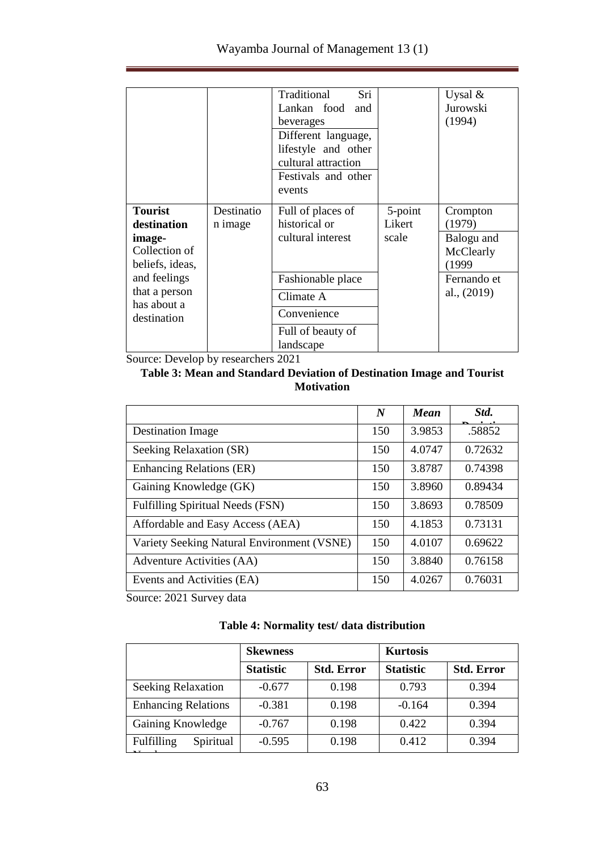|                              |            | Sri<br>Traditional  |         | Uysal $\&$  |
|------------------------------|------------|---------------------|---------|-------------|
|                              |            | Lankan food<br>and  |         | Jurowski    |
|                              |            | beverages           |         | (1994)      |
|                              |            | Different language, |         |             |
|                              |            | lifestyle and other |         |             |
|                              |            | cultural attraction |         |             |
|                              |            | Festivals and other |         |             |
|                              |            | events              |         |             |
|                              |            |                     |         |             |
| <b>Tourist</b>               | Destinatio | Full of places of   | 5-point | Crompton    |
| destination                  | n image    | historical or       | Likert  | (1979)      |
| image-                       |            | cultural interest   | scale   | Balogu and  |
| Collection of                |            |                     |         | McClearly   |
| beliefs, ideas,              |            |                     |         | (1999       |
| and feelings                 |            | Fashionable place   |         | Fernando et |
| that a person<br>has about a |            | Climate A           |         | al., (2019) |
| destination                  |            | Convenience         |         |             |
|                              |            | Full of beauty of   |         |             |
|                              |            | landscape           |         |             |

Source: Develop by researchers 2021

### **Table 3: Mean and Standard Deviation of Destination Image and Tourist Motivation**

|                                            | N   | <b>Mean</b> | Std.    |
|--------------------------------------------|-----|-------------|---------|
| <b>Destination Image</b>                   | 150 | 3.9853      | .58852  |
| Seeking Relaxation (SR)                    | 150 | 4.0747      | 0.72632 |
| <b>Enhancing Relations (ER)</b>            | 150 | 3.8787      | 0.74398 |
| Gaining Knowledge (GK)                     | 150 | 3.8960      | 0.89434 |
| Fulfilling Spiritual Needs (FSN)           | 150 | 3.8693      | 0.78509 |
| Affordable and Easy Access (AEA)           | 150 | 4.1853      | 0.73131 |
| Variety Seeking Natural Environment (VSNE) | 150 | 4.0107      | 0.69622 |
| Adventure Activities (AA)                  | 150 | 3.8840      | 0.76158 |
| Events and Activities (EA)                 | 150 | 4.0267      | 0.76031 |

Source: 2021 Survey data

## **Table 4: Normality test/ data distribution**

| <b>Skewness</b>  |                   | <b>Kurtosis</b>  |                   |
|------------------|-------------------|------------------|-------------------|
| <b>Statistic</b> | <b>Std. Error</b> | <b>Statistic</b> | <b>Std. Error</b> |
| $-0.677$         | 0.198             | 0.793            | 0.394             |
| $-0.381$         | 0.198             | $-0.164$         | 0.394             |
| $-0.767$         | 0.198             | 0.422            | 0.394             |
| $-0.595$         | 0.198             | 0.412            | 0.394             |
|                  |                   |                  |                   |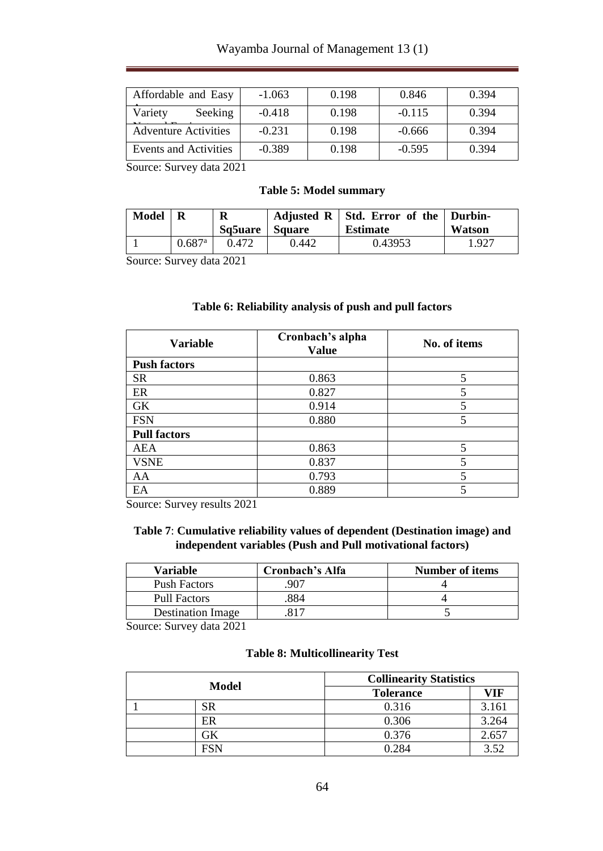## Wayamba Journal of Management 13 (1)

| Affordable and Easy         | $-1.063$ | 0.198 | 0.846    | 0.394 |
|-----------------------------|----------|-------|----------|-------|
| Variety<br>Seeking          | $-0.418$ | 0.198 | $-0.115$ | 0.394 |
| <b>Adventure Activities</b> | $-0.231$ | 0.198 | $-0.666$ | 0.394 |
| Events and Activities       | $-0.389$ | 0.198 | $-0.595$ | 0.394 |

Source: Survey data 2021

#### **Table 5: Model summary**

| Model |                      | R<br>Sq5uare   Square |       | Adjusted $R \mid$ Std. Error of the $\mid$ Durbin-<br><b>Estimate</b> | Watson |
|-------|----------------------|-----------------------|-------|-----------------------------------------------------------------------|--------|
|       | $0.687$ <sup>a</sup> | 0.472                 | 0.442 | 0.43953                                                               | 1.927  |

Source: Survey data 2021

#### **Table 6: Reliability analysis of push and pull factors**

| <b>Variable</b>     | Cronbach's alpha<br><b>Value</b> | No. of items |
|---------------------|----------------------------------|--------------|
| <b>Push factors</b> |                                  |              |
| <b>SR</b>           | 0.863                            | 5            |
| ER                  | 0.827                            | 5            |
| GK                  | 0.914                            | 5            |
| <b>FSN</b>          | 0.880                            | 5            |
| <b>Pull factors</b> |                                  |              |
| <b>AEA</b>          | 0.863                            | 5            |
| <b>VSNE</b>         | 0.837                            |              |
| AA                  | 0.793                            | 5            |
| EA                  | 0.889                            |              |

Source: Survey results 2021

#### **Table 7**: **Cumulative reliability values of dependent (Destination image) and independent variables (Push and Pull motivational factors)**

| Variable                 | Cronbach's Alfa | <b>Number of items</b> |
|--------------------------|-----------------|------------------------|
| <b>Push Factors</b>      | 907             |                        |
| <b>Pull Factors</b>      | 884             |                        |
| <b>Destination Image</b> |                 |                        |

Source: Survey data 2021

#### **Table 8: Multicollinearity Test**

| Model |     |                  | <b>Collinearity Statistics</b> |  |  |
|-------|-----|------------------|--------------------------------|--|--|
|       |     | <b>Tolerance</b> | VIF                            |  |  |
|       | SR  | 0.316            | 3.161                          |  |  |
|       | ER  | 0.306            | 3.264                          |  |  |
|       |     | 0.376            | 2.657                          |  |  |
|       | FSN | 0.284            | 3.52                           |  |  |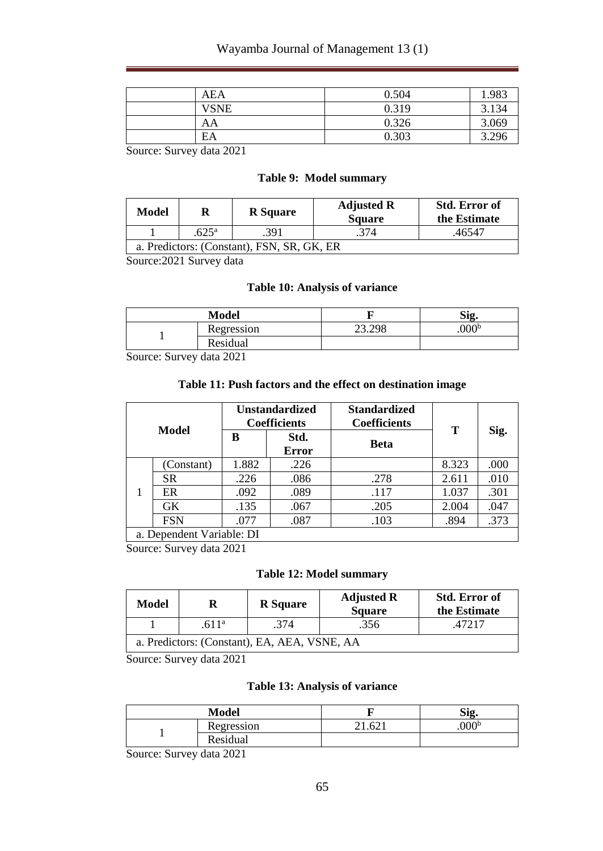## Wayamba Journal of Management 13 (1)

| <b>AEA</b>  | 0.504 | 1 983 |
|-------------|-------|-------|
| <b>VSNE</b> | 0.319 | 3.134 |
| AA          | 0.326 | 3.069 |
| EΑ          | 0.303 | 3.296 |

Source: Survey data 2021

#### **Table 9: Model summary**

| Model                                      |  | <b>R</b> Square | <b>Adjusted R</b><br><b>Square</b> | <b>Std. Error of</b><br>the Estimate |  |
|--------------------------------------------|--|-----------------|------------------------------------|--------------------------------------|--|
| $.625^{\circ}$<br>.391                     |  | .374            | .46547                             |                                      |  |
| a. Predictors: (Constant), FSN, SR, GK, ER |  |                 |                                    |                                      |  |

Source:2021 Survey data

#### **Table 10: Analysis of variance**

| Model      |                           | <b>Sig</b>        |
|------------|---------------------------|-------------------|
| Regression | $\Delta$<br>$\mathcal{D}$ | .000 <sup>b</sup> |
| Residual   |                           |                   |

Source: Survey data 2021

#### **Table 11: Push factors and the effect on destination image**

| Model                     |            | <b>Unstandardized</b><br><b>Coefficients</b> |               | <b>Standardized</b><br><b>Coefficients</b> | т     |      |
|---------------------------|------------|----------------------------------------------|---------------|--------------------------------------------|-------|------|
|                           |            | в                                            | Std.<br>Error | <b>Beta</b>                                |       | Sig. |
|                           | (Constant) | 1.882                                        | .226          |                                            | 8.323 | .000 |
|                           | SR.        | .226                                         | .086          | .278                                       | 2.611 | .010 |
|                           | ER         | .092                                         | .089          | .117                                       | 1.037 | .301 |
|                           | <b>GK</b>  | .135                                         | .067          | .205                                       | 2.004 | .047 |
|                           | <b>FSN</b> | .077                                         | .087          | .103                                       | .894  | .373 |
| a. Dependent Variable: DI |            |                                              |               |                                            |       |      |

Source: Survey data 2021

#### **Table 12: Model summary**

| Model                                        | R                 | <b>R</b> Square | <b>Adjusted R</b><br><b>Square</b> | <b>Std. Error of</b><br>the Estimate |  |  |
|----------------------------------------------|-------------------|-----------------|------------------------------------|--------------------------------------|--|--|
|                                              | .611 <sup>a</sup> | .374            | .356                               | 47217                                |  |  |
| a. Predictors: (Constant), EA, AEA, VSNE, AA |                   |                 |                                    |                                      |  |  |

Source: Survey data 2021

#### **Table 13: Analysis of variance**

| Model      |                      | Sig.              |
|------------|----------------------|-------------------|
| Regression | $\mathcal{L}^{\sim}$ | .000 <sup>b</sup> |
| Residual   |                      |                   |

Source: Survey data 2021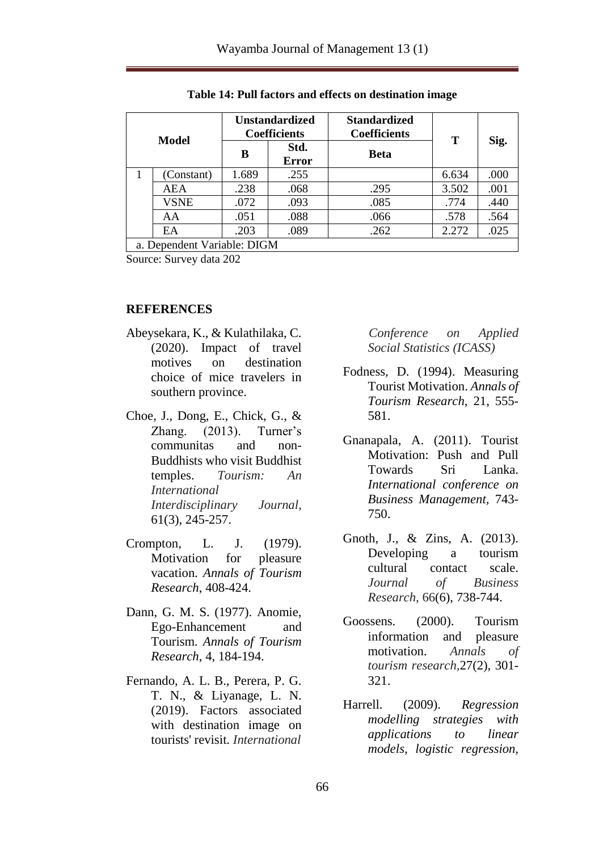| Model                       |             | <b>Unstandardized</b><br><b>Coefficients</b> |                      | <b>Standardized</b><br><b>Coefficients</b> | т     |      |
|-----------------------------|-------------|----------------------------------------------|----------------------|--------------------------------------------|-------|------|
|                             |             | в                                            | Std.<br><b>Error</b> | <b>Beta</b>                                |       | Sig. |
|                             | (Constant)  | 1.689                                        | .255                 |                                            | 6.634 | .000 |
|                             | AEA         | .238                                         | .068                 | .295                                       | 3.502 | .001 |
|                             | <b>VSNE</b> | .072                                         | .093                 | .085                                       | .774  | .440 |
|                             | AA          | .051                                         | .088                 | .066                                       | .578  | .564 |
|                             | EA          | .203                                         | .089                 | .262                                       | 2.272 | .025 |
| a. Dependent Variable: DIGM |             |                                              |                      |                                            |       |      |

**Table 14: Pull factors and effects on destination image**

Source: Survey data 202

#### **REFERENCES**

- Abeysekara, K., & Kulathilaka, C. (2020). Impact of travel motives on destination choice of mice travelers in southern province.
- Choe, J., Dong, E., Chick, G., & Zhang. (2013). Turner's communitas and non-Buddhists who visit Buddhist temples. *Tourism: An International Interdisciplinary Journal*, 61(3), 245-257.
- Crompton, L. J. (1979). Motivation for pleasure vacation. *Annals of Tourism Research*, 408-424.
- Dann, G. M. S. (1977). Anomie, Ego-Enhancement and Tourism. *Annals of Tourism Research*, 4, 184-194.
- Fernando, A. L. B., Perera, P. G. T. N., & Liyanage, L. N. (2019). Factors associated with destination image on tourists' revisit. *International*

 *Conference on Applied Social Statistics (ICASS)*

- Fodness, D. (1994). Measuring Tourist Motivation. *Annals of Tourism Research*, 21, 555- 581.
- Gnanapala, A. (2011). Tourist Motivation: Push and Pull Towards Sri Lanka. *International conference on Business Management,* 743- 750.
- Gnoth, J., & Zins, A. (2013). Developing a tourism cultural contact scale. *Journal of Business Research,* 66(6), 738-744.
- Goossens. (2000). Tourism information and pleasure motivation. *Annals of tourism research,*27(2), 301- 321.
- Harrell. (2009). *Regression modelling strategies with applications to linear models, logistic regression,*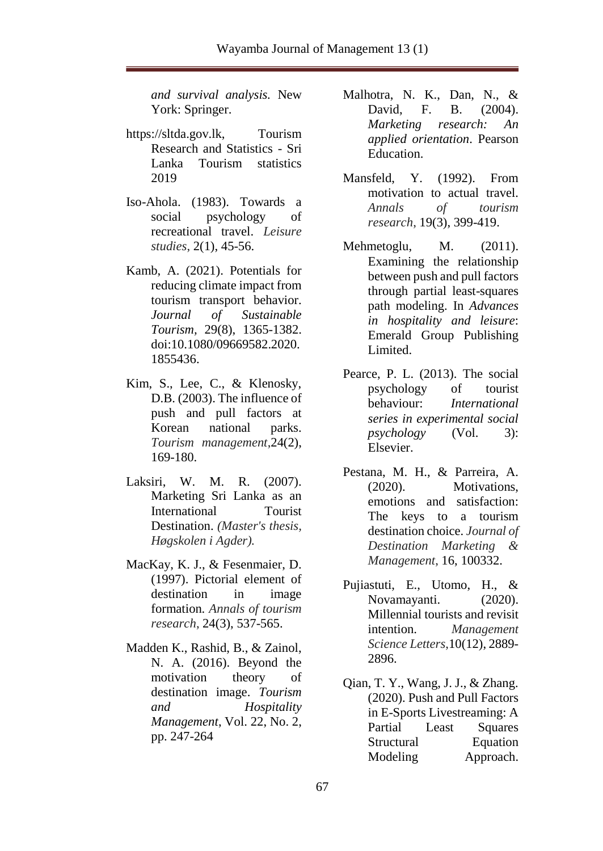*and survival analysis.* New York: Springer.

- https://sltda.gov.lk, Tourism Research and Statistics - Sri Lanka Tourism statistics 2019
- Iso-Ahola. (1983). Towards a social psychology of recreational travel. *Leisure studies*, 2(1), 45-56.
- Kamb, A. (2021). Potentials for reducing climate impact from tourism transport behavior. *Journal of Sustainable Tourism,* 29(8), 1365-1382. doi:10.1080/09669582.2020. 1855436.
- Kim, S., Lee, C., & Klenosky, D.B. (2003). The influence of push and pull factors at Korean national parks. *Tourism management*,24(2), 169-180.
- Laksiri, W. M. R. (2007). Marketing Sri Lanka as an International Tourist Destination. *(Master's thesis, Høgskolen i Agder).*
- MacKay, K. J., & Fesenmaier, D. (1997). Pictorial element of destination in image formation. *Annals of tourism research*, 24(3), 537-565.
- Madden K., Rashid, B., & Zainol, N. A. (2016). Beyond the motivation theory of destination image. *Tourism and Hospitality Management*, Vol. 22, No. 2, pp. 247-264
- Malhotra, N. K., Dan, N., & David, F. B. (2004). *Marketing research: An applied orientation*. Pearson Education.
- Mansfeld, Y. (1992). From motivation to actual travel. *Annals of tourism research*, 19(3), 399-419.
- Mehmetoglu, M. (2011). Examining the relationship between push and pull factors through partial least-squares path modeling. In *Advances in hospitality and leisure*: Emerald Group Publishing Limited.
- Pearce, P. L. (2013). The social psychology of tourist behaviour: *International series in experimental social psychology* (Vol. 3): Elsevier.
- Pestana, M. H., & Parreira, A. (2020). Motivations, emotions and satisfaction: The keys to a tourism destination choice. *Journal of Destination Marketing & Management*, 16, 100332.
- Pujiastuti, E., Utomo, H., & Novamayanti. (2020). Millennial tourists and revisit intention. *Management Science Letters*,10(12), 2889- 2896.
- Qian, T. Y., Wang, J. J., & Zhang. (2020). Push and Pull Factors in E-Sports Livestreaming: A Partial Least Squares Structural Equation Modeling Approach.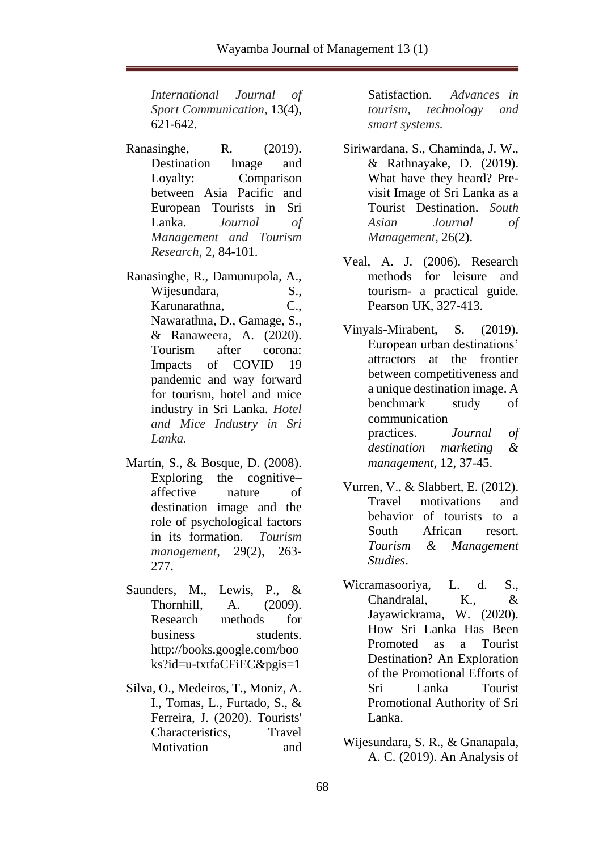*International Journal of Sport Communication*, 13(4), 621-642.

Ranasinghe, R. (2019). Destination Image and Loyalty: Comparison between Asia Pacific and European Tourists in Sri Lanka. *Journal of Management and Tourism Research*, 2, 84-101.

Ranasinghe, R., Damunupola, A., Wijesundara, S., Karunarathna, C., Nawarathna, D., Gamage, S., & Ranaweera, A. (2020). Tourism after corona: Impacts of COVID 19 pandemic and way forward for tourism, hotel and mice industry in Sri Lanka. *Hotel and Mice Industry in Sri Lanka.*

- Martín, S., & Bosque, D. (2008). Exploring the cognitive– affective nature of destination image and the role of psychological factors in its formation. *Tourism management*, 29(2), 263- 277.
- Saunders, M., Lewis, P., & Thornhill, A. (2009). Research methods for business students. http://books.google.com/boo ks?id=u-txtfaCFiEC&pgis=1
- Silva, O., Medeiros, T., Moniz, A. I., Tomas, L., Furtado, S., & Ferreira, J. (2020). Tourists' Characteristics, Travel Motivation and

Satisfaction. *Advances in tourism, technology and smart systems.*

- Siriwardana, S., Chaminda, J. W., & Rathnayake, D. (2019). What have they heard? Previsit Image of Sri Lanka as a Tourist Destination. *South Asian Journal of Management*, 26(2).
- Veal, A. J. (2006). Research methods for leisure and tourism- a practical guide. Pearson UK, 327-413.
- Vinyals-Mirabent, S. (2019). European urban destinations' attractors at the frontier between competitiveness and a unique destination image. A benchmark study of communication practices. *Journal of destination marketing & management*, 12, 37-45.
- Vurren, V., & Slabbert, E. (2012). Travel motivations and behavior of tourists to a South African resort. *Tourism & Management Studies*.
- Wicramasooriya, L. d. S., Chandralal, K., & Jayawickrama, W. (2020). How Sri Lanka Has Been Promoted as a Tourist Destination? An Exploration of the Promotional Efforts of Sri Lanka Tourist Promotional Authority of Sri Lanka.
- Wijesundara, S. R., & Gnanapala, A. C. (2019). An Analysis of